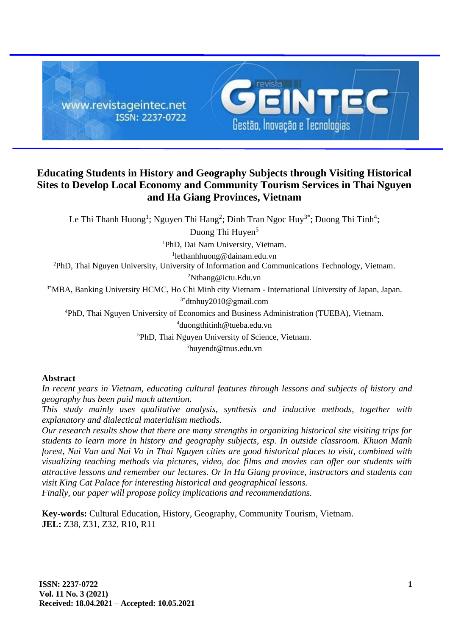

# **Educating Students in History and Geography Subjects through Visiting Historical Sites to Develop Local Economy and Community Tourism Services in Thai Nguyen and Ha Giang Provinces, Vietnam**

Le Thi Thanh Huong<sup>1</sup>; Nguyen Thi Hang<sup>2</sup>; Dinh Tran Ngoc Huy<sup>3\*</sup>; Duong Thi Tinh<sup>4</sup>; Duong Thi Huyen<sup>5</sup>

<sup>1</sup>PhD, Dai Nam University, Vietnam.

1 lethanhhuong@dainam.edu.vn

<sup>2</sup>PhD, Thai Nguyen University, University of Information and Communications Technology, Vietnam.

<sup>2</sup>Nthang@ictu.Edu.vn

<sup>3\*</sup>MBA, Banking University HCMC, Ho Chi Minh city Vietnam - International University of Japan, Japan. 3\*dtnhuy2010@gmail.com

<sup>4</sup>PhD, Thai Nguyen University of Economics and Business Administration (TUEBA), Vietnam.

<sup>4</sup>duongthitinh@tueba.edu.vn

<sup>5</sup>PhD, Thai Nguyen University of Science, Vietnam.

<sup>5</sup>huyendt@tnus.edu.vn

# **Abstract**

*In recent years in Vietnam, educating cultural features through lessons and subjects of history and geography has been paid much attention.*

*This study mainly uses qualitative analysis, synthesis and inductive methods, together with explanatory and dialectical materialism methods.*

*Our research results show that there are many strengths in organizing historical site visiting trips for students to learn more in history and geography subjects, esp. In outside classroom. Khuon Manh forest, Nui Van and Nui Vo in Thai Nguyen cities are good historical places to visit, combined with visualizing teaching methods via pictures, video, doc films and movies can offer our students with attractive lessons and remember our lectures. Or In Ha Giang province, instructors and students can visit King Cat Palace for interesting historical and geographical lessons. Finally, our paper will propose policy implications and recommendations.*

**Key-words:** Cultural Education, History, Geography, Community Tourism, Vietnam. **JEL:** Z38, Z31, Z32, R10, R11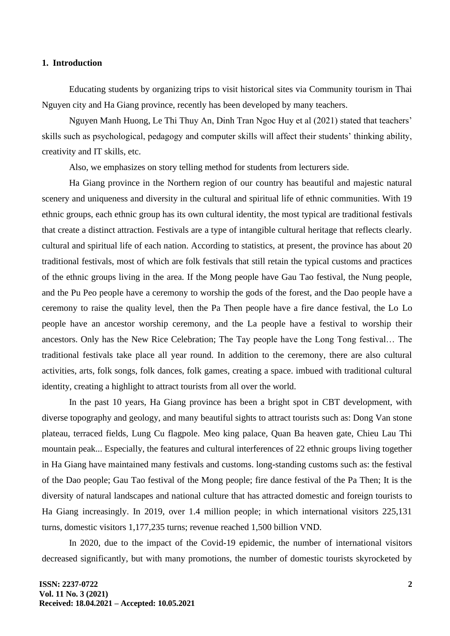#### **1. Introduction**

Educating students by organizing trips to visit historical sites via Community tourism in Thai Nguyen city and Ha Giang province, recently has been developed by many teachers.

Nguyen Manh Huong, Le Thi Thuy An, Dinh Tran Ngoc Huy et al (2021) stated that teachers' skills such as psychological, pedagogy and computer skills will affect their students' thinking ability, creativity and IT skills, etc.

Also, we emphasizes on story telling method for students from lecturers side.

Ha Giang province in the Northern region of our country has beautiful and majestic natural scenery and uniqueness and diversity in the cultural and spiritual life of ethnic communities. With 19 ethnic groups, each ethnic group has its own cultural identity, the most typical are traditional festivals that create a distinct attraction. Festivals are a type of intangible cultural heritage that reflects clearly. cultural and spiritual life of each nation. According to statistics, at present, the province has about 20 traditional festivals, most of which are folk festivals that still retain the typical customs and practices of the ethnic groups living in the area. If the Mong people have Gau Tao festival, the Nung people, and the Pu Peo people have a ceremony to worship the gods of the forest, and the Dao people have a ceremony to raise the quality level, then the Pa Then people have a fire dance festival, the Lo Lo people have an ancestor worship ceremony, and the La people have a festival to worship their ancestors. Only has the New Rice Celebration; The Tay people have the Long Tong festival… The traditional festivals take place all year round. In addition to the ceremony, there are also cultural activities, arts, folk songs, folk dances, folk games, creating a space. imbued with traditional cultural identity, creating a highlight to attract tourists from all over the world.

In the past 10 years, Ha Giang province has been a bright spot in CBT development, with diverse topography and geology, and many beautiful sights to attract tourists such as: Dong Van stone plateau, terraced fields, Lung Cu flagpole. Meo king palace, Quan Ba heaven gate, Chieu Lau Thi mountain peak... Especially, the features and cultural interferences of 22 ethnic groups living together in Ha Giang have maintained many festivals and customs. long-standing customs such as: the festival of the Dao people; Gau Tao festival of the Mong people; fire dance festival of the Pa Then; It is the diversity of natural landscapes and national culture that has attracted domestic and foreign tourists to Ha Giang increasingly. In 2019, over 1.4 million people; in which international visitors 225,131 turns, domestic visitors 1,177,235 turns; revenue reached 1,500 billion VND.

In 2020, due to the impact of the Covid-19 epidemic, the number of international visitors decreased significantly, but with many promotions, the number of domestic tourists skyrocketed by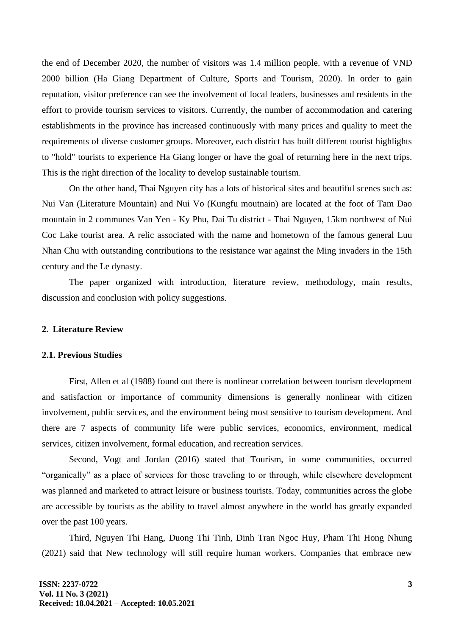the end of December 2020, the number of visitors was 1.4 million people. with a revenue of VND 2000 billion (Ha Giang Department of Culture, Sports and Tourism, 2020). In order to gain reputation, visitor preference can see the involvement of local leaders, businesses and residents in the effort to provide tourism services to visitors. Currently, the number of accommodation and catering establishments in the province has increased continuously with many prices and quality to meet the requirements of diverse customer groups. Moreover, each district has built different tourist highlights to "hold" tourists to experience Ha Giang longer or have the goal of returning here in the next trips. This is the right direction of the locality to develop sustainable tourism.

On the other hand, Thai Nguyen city has a lots of historical sites and beautiful scenes such as: Nui Van (Literature Mountain) and Nui Vo (Kungfu moutnain) are located at the foot of Tam Dao mountain in 2 communes Van Yen - Ky Phu, Dai Tu district - Thai Nguyen, 15km northwest of Nui Coc Lake tourist area. A relic associated with the name and hometown of the famous general Luu Nhan Chu with outstanding contributions to the resistance war against the Ming invaders in the 15th century and the Le dynasty.

The paper organized with introduction, literature review, methodology, main results, discussion and conclusion with policy suggestions.

#### **2. Literature Review**

#### **2.1. Previous Studies**

First, Allen et al (1988) found out there is nonlinear correlation between tourism development and satisfaction or importance of community dimensions is generally nonlinear with citizen involvement, public services, and the environment being most sensitive to tourism development. And there are 7 aspects of community life were public services, economics, environment, medical services, citizen involvement, formal education, and recreation services.

Second, Vogt and Jordan (2016) stated that Tourism, in some communities, occurred "organically" as a place of services for those traveling to or through, while elsewhere development was planned and marketed to attract leisure or business tourists. Today, communities across the globe are accessible by tourists as the ability to travel almost anywhere in the world has greatly expanded over the past 100 years.

Third, Nguyen Thi Hang, Duong Thi Tinh, Dinh Tran Ngoc Huy, Pham Thi Hong Nhung (2021) said that New technology will still require human workers. Companies that embrace new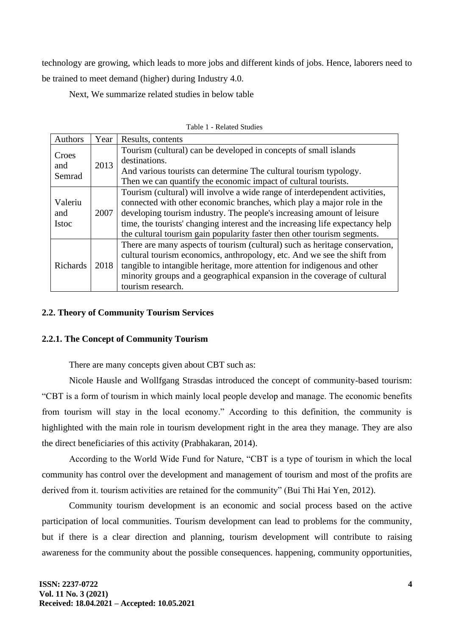technology are growing, which leads to more jobs and different kinds of jobs. Hence, laborers need to be trained to meet demand (higher) during Industry 4.0.

Next, We summarize related studies in below table

| Authors                        | Year | Results, contents                                                                                                                                                                                                                                                                                                                                                                           |  |
|--------------------------------|------|---------------------------------------------------------------------------------------------------------------------------------------------------------------------------------------------------------------------------------------------------------------------------------------------------------------------------------------------------------------------------------------------|--|
| Croes<br>and<br>Semrad         | 2013 | Tourism (cultural) can be developed in concepts of small islands<br>destinations.<br>And various tourists can determine The cultural tourism typology.<br>Then we can quantify the economic impact of cultural tourists.                                                                                                                                                                    |  |
| Valeriu<br>and<br><b>Istoc</b> | 2007 | Tourism (cultural) will involve a wide range of interdependent activities,<br>connected with other economic branches, which play a major role in the<br>developing tourism industry. The people's increasing amount of leisure<br>time, the tourists' changing interest and the increasing life expectancy help<br>the cultural tourism gain popularity faster then other tourism segments. |  |
| <b>Richards</b>                | 2018 | There are many aspects of tourism (cultural) such as heritage conservation,<br>cultural tourism economics, anthropology, etc. And we see the shift from<br>tangible to intangible heritage, more attention for indigenous and other<br>minority groups and a geographical expansion in the coverage of cultural<br>tourism research.                                                        |  |

### **2.2. Theory of Community Tourism Services**

#### **2.2.1. The Concept of Community Tourism**

There are many concepts given about CBT such as:

Nicole Hausle and Wollfgang Strasdas introduced the concept of community-based tourism: "CBT is a form of tourism in which mainly local people develop and manage. The economic benefits from tourism will stay in the local economy." According to this definition, the community is highlighted with the main role in tourism development right in the area they manage. They are also the direct beneficiaries of this activity (Prabhakaran, 2014).

According to the World Wide Fund for Nature, "CBT is a type of tourism in which the local community has control over the development and management of tourism and most of the profits are derived from it. tourism activities are retained for the community" (Bui Thi Hai Yen, 2012).

Community tourism development is an economic and social process based on the active participation of local communities. Tourism development can lead to problems for the community, but if there is a clear direction and planning, tourism development will contribute to raising awareness for the community about the possible consequences. happening, community opportunities,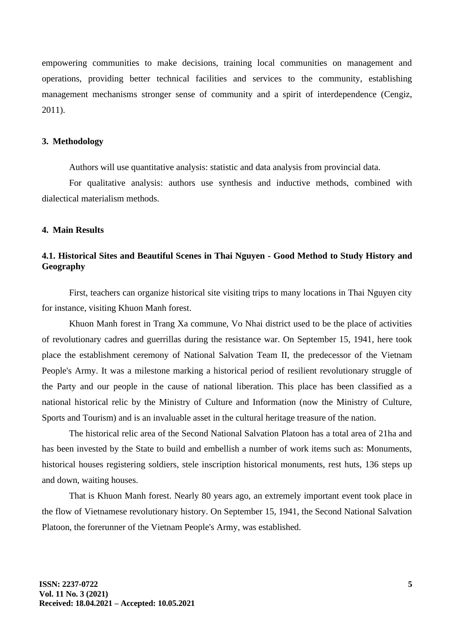empowering communities to make decisions, training local communities on management and operations, providing better technical facilities and services to the community, establishing management mechanisms stronger sense of community and a spirit of interdependence (Cengiz, 2011).

#### **3. Methodology**

Authors will use quantitative analysis: statistic and data analysis from provincial data.

For qualitative analysis: authors use synthesis and inductive methods, combined with dialectical materialism methods.

### **4. Main Results**

# **4.1. Historical Sites and Beautiful Scenes in Thai Nguyen - Good Method to Study History and Geography**

First, teachers can organize historical site visiting trips to many locations in Thai Nguyen city for instance, visiting Khuon Manh forest.

Khuon Manh forest in Trang Xa commune, Vo Nhai district used to be the place of activities of revolutionary cadres and guerrillas during the resistance war. On September 15, 1941, here took place the establishment ceremony of National Salvation Team II, the predecessor of the Vietnam People's Army. It was a milestone marking a historical period of resilient revolutionary struggle of the Party and our people in the cause of national liberation. This place has been classified as a national historical relic by the Ministry of Culture and Information (now the Ministry of Culture, Sports and Tourism) and is an invaluable asset in the cultural heritage treasure of the nation.

The historical relic area of the Second National Salvation Platoon has a total area of 21ha and has been invested by the State to build and embellish a number of work items such as: Monuments, historical houses registering soldiers, stele inscription historical monuments, rest huts, 136 steps up and down, waiting houses.

That is Khuon Manh forest. Nearly 80 years ago, an extremely important event took place in the flow of Vietnamese revolutionary history. On September 15, 1941, the Second National Salvation Platoon, the forerunner of the Vietnam People's Army, was established.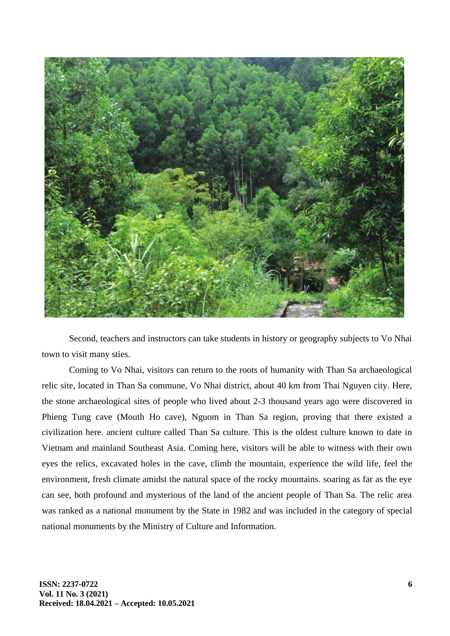

Second, teachers and instructors can take students in history or geography subjects to Vo Nhai town to visit many sties.

Coming to Vo Nhai, visitors can return to the roots of humanity with Than Sa archaeological relic site, located in Than Sa commune, Vo Nhai district, about 40 km from Thai Nguyen city. Here, the stone archaeological sites of people who lived about 2-3 thousand years ago were discovered in Phieng Tung cave (Mouth Ho cave), Nguom in Than Sa region, proving that there existed a civilization here. ancient culture called Than Sa culture. This is the oldest culture known to date in Vietnam and mainland Southeast Asia. Coming here, visitors will be able to witness with their own eyes the relics, excavated holes in the cave, climb the mountain, experience the wild life, feel the environment, fresh climate amidst the natural space of the rocky mountains. soaring as far as the eye can see, both profound and mysterious of the land of the ancient people of Than Sa. The relic area was ranked as a national monument by the State in 1982 and was included in the category of special national monuments by the Ministry of Culture and Information.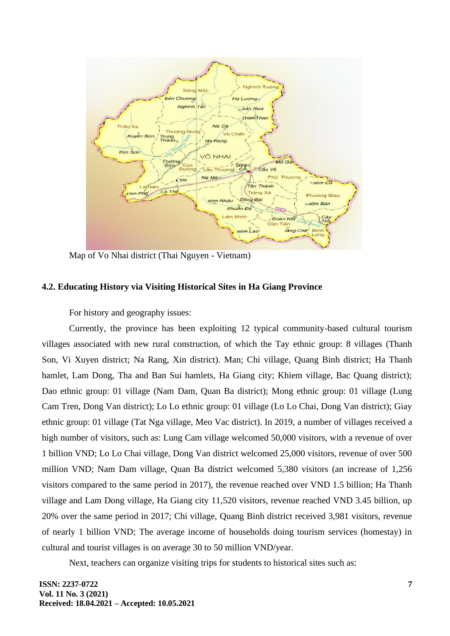

Map of Vo Nhai district (Thai Nguyen - Vietnam)

# **4.2. Educating History via Visiting Historical Sites in Ha Giang Province**

For history and geography issues:

Currently, the province has been exploiting 12 typical community-based cultural tourism villages associated with new rural construction, of which the Tay ethnic group: 8 villages (Thanh Son, Vi Xuyen district; Na Rang, Xin district). Man; Chi village, Quang Binh district; Ha Thanh hamlet, Lam Dong, Tha and Ban Sui hamlets, Ha Giang city; Khiem village, Bac Quang district); Dao ethnic group: 01 village (Nam Dam, Quan Ba district); Mong ethnic group: 01 village (Lung Cam Tren, Dong Van district); Lo Lo ethnic group: 01 village (Lo Lo Chai, Dong Van district); Giay ethnic group: 01 village (Tat Nga village, Meo Vac district). In 2019, a number of villages received a high number of visitors, such as: Lung Cam village welcomed 50,000 visitors, with a revenue of over 1 billion VND; Lo Lo Chai village, Dong Van district welcomed 25,000 visitors, revenue of over 500 million VND; Nam Dam village, Quan Ba district welcomed 5,380 visitors (an increase of 1,256 visitors compared to the same period in 2017), the revenue reached over VND 1.5 billion; Ha Thanh village and Lam Dong village, Ha Giang city 11,520 visitors, revenue reached VND 3.45 billion, up 20% over the same period in 2017; Chi village, Quang Binh district received 3,981 visitors, revenue of nearly 1 billion VND; The average income of households doing tourism services (homestay) in cultural and tourist villages is on average 30 to 50 million VND/year.

Next, teachers can organize visiting trips for students to historical sites such as: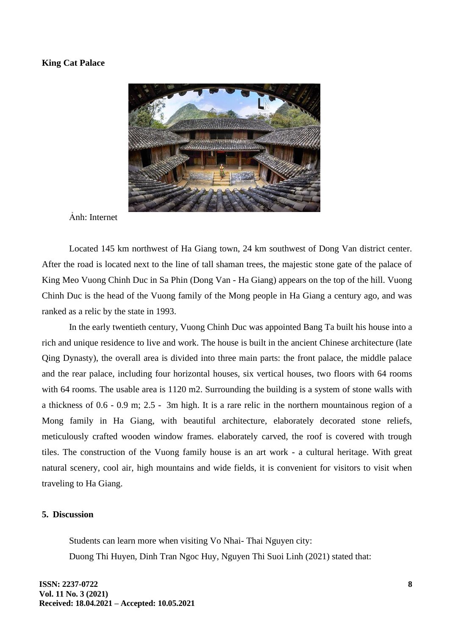#### **King Cat Palace**



Ảnh: Internet

Located 145 km northwest of Ha Giang town, 24 km southwest of Dong Van district center. After the road is located next to the line of tall shaman trees, the majestic stone gate of the palace of King Meo Vuong Chinh Duc in Sa Phin (Dong Van - Ha Giang) appears on the top of the hill. Vuong Chinh Duc is the head of the Vuong family of the Mong people in Ha Giang a century ago, and was ranked as a relic by the state in 1993.

In the early twentieth century, Vuong Chinh Duc was appointed Bang Ta built his house into a rich and unique residence to live and work. The house is built in the ancient Chinese architecture (late Qing Dynasty), the overall area is divided into three main parts: the front palace, the middle palace and the rear palace, including four horizontal houses, six vertical houses, two floors with 64 rooms with 64 rooms. The usable area is 1120 m2. Surrounding the building is a system of stone walls with a thickness of 0.6 - 0.9 m; 2.5 - 3m high. It is a rare relic in the northern mountainous region of a Mong family in Ha Giang, with beautiful architecture, elaborately decorated stone reliefs, meticulously crafted wooden window frames. elaborately carved, the roof is covered with trough tiles. The construction of the Vuong family house is an art work - a cultural heritage. With great natural scenery, cool air, high mountains and wide fields, it is convenient for visitors to visit when traveling to Ha Giang.

#### **5. Discussion**

Students can learn more when visiting Vo Nhai- Thai Nguyen city: Duong Thi Huyen, Dinh Tran Ngoc Huy, Nguyen Thi Suoi Linh (2021) stated that: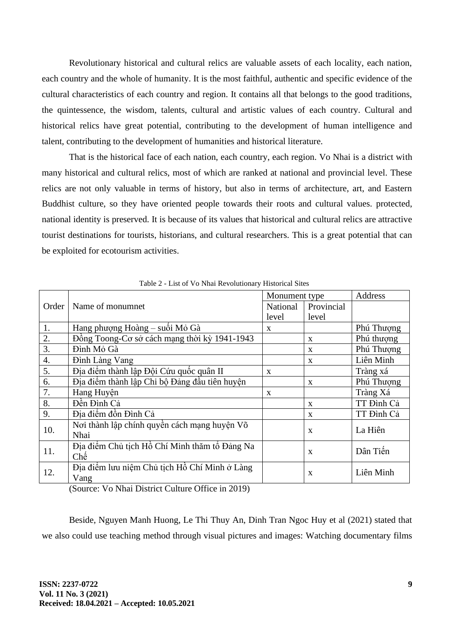Revolutionary historical and cultural relics are valuable assets of each locality, each nation, each country and the whole of humanity. It is the most faithful, authentic and specific evidence of the cultural characteristics of each country and region. It contains all that belongs to the good traditions, the quintessence, the wisdom, talents, cultural and artistic values of each country. Cultural and historical relics have great potential, contributing to the development of human intelligence and talent, contributing to the development of humanities and historical literature.

That is the historical face of each nation, each country, each region. Vo Nhai is a district with many historical and cultural relics, most of which are ranked at national and provincial level. These relics are not only valuable in terms of history, but also in terms of architecture, art, and Eastern Buddhist culture, so they have oriented people towards their roots and cultural values. protected, national identity is preserved. It is because of its values that historical and cultural relics are attractive tourist destinations for tourists, historians, and cultural researchers. This is a great potential that can be exploited for ecotourism activities.

|       |                                               | Monument type |              | Address    |
|-------|-----------------------------------------------|---------------|--------------|------------|
| Order | Name of monumnet                              | National      | Provincial   |            |
|       |                                               | level         | level        |            |
| 1.    | Hang phượng Hoàng - suối Mỏ Gà                | X             |              | Phú Thượng |
| 2.    | Đồng Toong-Cσ sở cách mạng thời kỳ 1941-1943  |               | $\mathbf{X}$ | Phú thượng |
| 3.    | Đình Mỏ Gà                                    |               | X            | Phú Thượng |
| 4.    | Đình Làng Vang                                |               | $\mathbf{X}$ | Liên Minh  |
| 5.    | Địa điểm thành lập Đội Cứu quốc quân II       | X             |              | Tràng xá   |
| 6.    | Địa điểm thành lập Chi bộ Đảng đầu tiên huyện |               | $\mathbf{x}$ | Phú Thượng |
| 7.    | Hang Huyện                                    | X             |              | Tràng Xá   |
| 8.    | Đền Đình Cả                                   |               | $\mathbf{x}$ | TT Đình Cả |
| 9.    | Địa điểm đồn Đình Cả                          |               | $\mathbf{X}$ | TT Đình Cả |
| 10.   | Nơi thành lập chính quyền cách mạng huyện Võ  |               | $\mathbf{x}$ |            |
|       | Nhai                                          |               |              | La Hiên    |
| 11.   | Địa điểm Chủ tịch Hồ Chí Minh thăm tổ Đảng Na |               | $\mathbf{x}$ | Dân Tiến   |
|       | Chế                                           |               |              |            |
| 12.   | Địa điểm lưu niêm Chủ tịch Hồ Chí Minh ở Làng | $\mathbf{x}$  |              | Liên Minh  |
|       | Vang                                          |               |              |            |

Table 2 - List of Vo Nhai Revolutionary Historical Sites

(Source: Vo Nhai District Culture Office in 2019)

Beside, Nguyen Manh Huong, Le Thi Thuy An, Dinh Tran Ngoc Huy et al (2021) stated that we also could use teaching method through visual pictures and images: Watching documentary films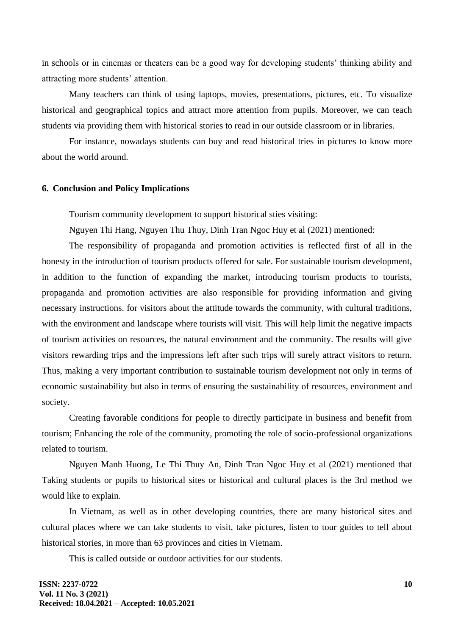in schools or in cinemas or theaters can be a good way for developing students' thinking ability and attracting more students' attention.

Many teachers can think of using laptops, movies, presentations, pictures, etc. To visualize historical and geographical topics and attract more attention from pupils. Moreover, we can teach students via providing them with historical stories to read in our outside classroom or in libraries.

For instance, nowadays students can buy and read historical tries in pictures to know more about the world around.

#### **6. Conclusion and Policy Implications**

Tourism community development to support historical sties visiting:

Nguyen Thi Hang, Nguyen Thu Thuy, Dinh Tran Ngoc Huy et al (2021) mentioned:

The responsibility of propaganda and promotion activities is reflected first of all in the honesty in the introduction of tourism products offered for sale. For sustainable tourism development, in addition to the function of expanding the market, introducing tourism products to tourists, propaganda and promotion activities are also responsible for providing information and giving necessary instructions. for visitors about the attitude towards the community, with cultural traditions, with the environment and landscape where tourists will visit. This will help limit the negative impacts of tourism activities on resources, the natural environment and the community. The results will give visitors rewarding trips and the impressions left after such trips will surely attract visitors to return. Thus, making a very important contribution to sustainable tourism development not only in terms of economic sustainability but also in terms of ensuring the sustainability of resources, environment and society.

Creating favorable conditions for people to directly participate in business and benefit from tourism; Enhancing the role of the community, promoting the role of socio-professional organizations related to tourism.

Nguyen Manh Huong, Le Thi Thuy An, Dinh Tran Ngoc Huy et al (2021) mentioned that Taking students or pupils to historical sites or historical and cultural places is the 3rd method we would like to explain.

In Vietnam, as well as in other developing countries, there are many historical sites and cultural places where we can take students to visit, take pictures, listen to tour guides to tell about historical stories, in more than 63 provinces and cities in Vietnam.

This is called outside or outdoor activities for our students.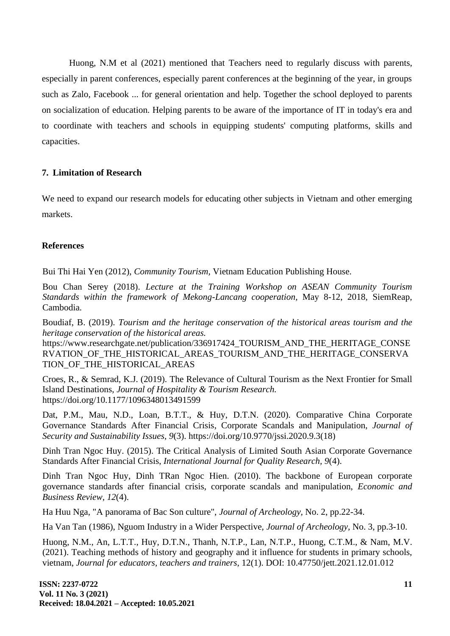Huong, N.M et al (2021) mentioned that Teachers need to regularly discuss with parents, especially in parent conferences, especially parent conferences at the beginning of the year, in groups such as Zalo, Facebook ... for general orientation and help. Together the school deployed to parents on socialization of education. Helping parents to be aware of the importance of IT in today's era and to coordinate with teachers and schools in equipping students' computing platforms, skills and capacities.

# **7. Limitation of Research**

We need to expand our research models for educating other subjects in Vietnam and other emerging markets.

# **References**

Bui Thi Hai Yen (2012), *Community Tourism,* Vietnam Education Publishing House.

Bou Chan Serey (2018). *Lecture at the Training Workshop on ASEAN Community Tourism Standards within the framework of Mekong-Lancang cooperation,* May 8-12, 2018, SiemReap, Cambodia.

Boudiaf, B. (2019). *Tourism and the heritage conservation of the historical areas tourism and the heritage conservation of the historical areas.*

https://www.researchgate.net/publication/336917424\_TOURISM\_AND\_THE\_HERITAGE\_CONSE RVATION OF THE HISTORICAL AREAS TOURISM AND THE HERITAGE CONSERVA TION\_OF\_THE\_HISTORICAL\_AREAS

Croes, R., & Semrad, K.J. (2019). The Relevance of Cultural Tourism as the Next Frontier for Small Island Destinations, *Journal of Hospitality & Tourism Research.* https://doi.org/10.1177/1096348013491599

Dat, P.M., Mau, N.D., Loan, B.T.T., & Huy, D.T.N. (2020). Comparative China Corporate Governance Standards After Financial Crisis, Corporate Scandals and Manipulation, *Journal of Security and Sustainability Issues, 9*(3). https://doi.org/10.9770/jssi.2020.9.3(18)

Dinh Tran Ngoc Huy. (2015). The Critical Analysis of Limited South Asian Corporate Governance Standards After Financial Crisis, *International Journal for Quality Research, 9*(4).

Dinh Tran Ngoc Huy, Dinh TRan Ngoc Hien. (2010). The backbone of European corporate governance standards after financial crisis, corporate scandals and manipulation, *Economic and Business Review, 12*(4).

Ha Huu Nga, "A panorama of Bac Son culture", *Journal of Archeology,* No. 2, pp.22-34.

Ha Van Tan (1986), Nguom Industry in a Wider Perspective, *Journal of Archeology,* No. 3, pp.3-10.

Huong, N.M., An, L.T.T., Huy, D.T.N., Thanh, N.T.P., Lan, N.T.P., Huong, C.T.M., & Nam, M.V. (2021). Teaching methods of history and geography and it influence for students in primary schools, vietnam, *Journal for educators, teachers and trainers,* 12(1). DOI: 10.47750/jett.2021.12.01.012